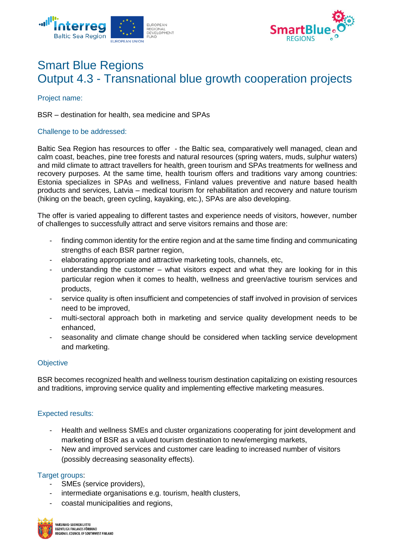



# Smart Blue Regions Output 4.3 - Transnational blue growth cooperation projects

Project name:

BSR – destination for health, sea medicine and SPAs

# Challenge to be addressed:

Baltic Sea Region has resources to offer - the Baltic sea, comparatively well managed, clean and calm coast, beaches, pine tree forests and natural resources (spring waters, muds, sulphur waters) and mild climate to attract travellers for health, green tourism and SPAs treatments for wellness and recovery purposes. At the same time, health tourism offers and traditions vary among countries: Estonia specializes in SPAs and wellness, Finland values preventive and nature based health products and services, Latvia – medical tourism for rehabilitation and recovery and nature tourism (hiking on the beach, green cycling, kayaking, etc.), SPAs are also developing.

The offer is varied appealing to different tastes and experience needs of visitors, however, number of challenges to successfully attract and serve visitors remains and those are:

- finding common identity for the entire region and at the same time finding and communicating strengths of each BSR partner region,
- elaborating appropriate and attractive marketing tools, channels, etc,
- understanding the customer  $-$  what visitors expect and what they are looking for in this particular region when it comes to health, wellness and green/active tourism services and products,
- service quality is often insufficient and competencies of staff involved in provision of services need to be improved,
- multi-sectoral approach both in marketing and service quality development needs to be enhanced,
- seasonality and climate change should be considered when tackling service development and marketing.

# **Objective**

BSR becomes recognized health and wellness tourism destination capitalizing on existing resources and traditions, improving service quality and implementing effective marketing measures.

# Expected results:

- Health and wellness SMEs and cluster organizations cooperating for joint development and marketing of BSR as a valued tourism destination to new/emerging markets,
- New and improved services and customer care leading to increased number of visitors (possibly decreasing seasonality effects).

# Target groups:

- SMEs (service providers),
- intermediate organisations e.g. tourism, health clusters,
- coastal municipalities and regions,